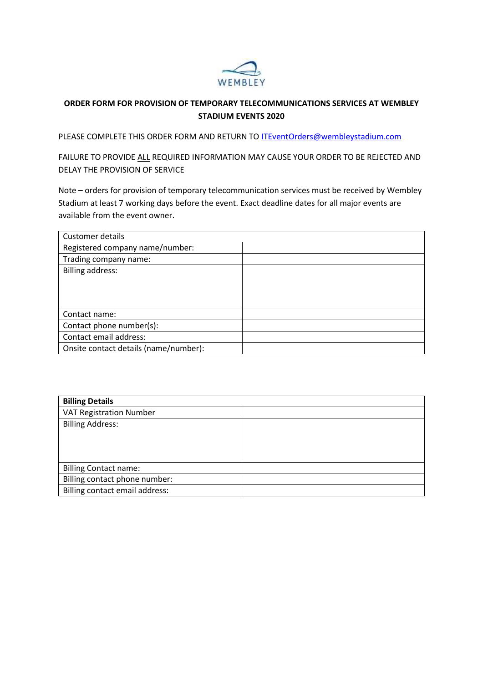

## **ORDER FORM FOR PROVISION OF TEMPORARY TELECOMMUNICATIONS SERVICES AT WEMBLEY STADIUM EVENTS 2020**

PLEASE COMPLETE THIS ORDER FORM AND RETURN TO [ITEventOrders@wembleystadium.com](mailto:ITEventOrders@wembleystadium.com)

FAILURE TO PROVIDE ALL REQUIRED INFORMATION MAY CAUSE YOUR ORDER TO BE REJECTED AND DELAY THE PROVISION OF SERVICE

Note – orders for provision of temporary telecommunication services must be received by Wembley Stadium at least 7 working days before the event. Exact deadline dates for all major events are available from the event owner.

| Customer details                      |  |
|---------------------------------------|--|
| Registered company name/number:       |  |
| Trading company name:                 |  |
| <b>Billing address:</b>               |  |
|                                       |  |
|                                       |  |
|                                       |  |
| Contact name:                         |  |
| Contact phone number(s):              |  |
| Contact email address:                |  |
| Onsite contact details (name/number): |  |

| <b>Billing Details</b>         |  |  |  |
|--------------------------------|--|--|--|
| <b>VAT Registration Number</b> |  |  |  |
| <b>Billing Address:</b>        |  |  |  |
|                                |  |  |  |
|                                |  |  |  |
|                                |  |  |  |
| <b>Billing Contact name:</b>   |  |  |  |
| Billing contact phone number:  |  |  |  |
| Billing contact email address: |  |  |  |